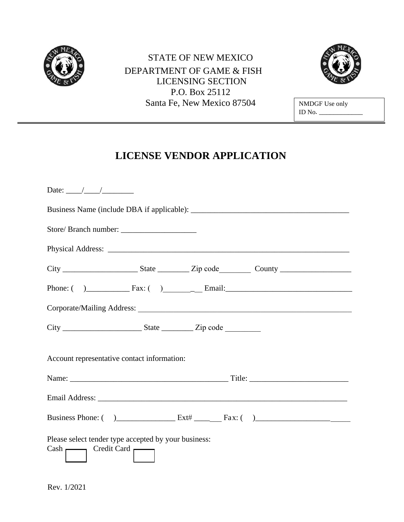

## STATE OF NEW MEXICO 1 DEPARTMENT OF GAME & FISH LICENSING SECTION P.O. Box 25112 Santa Fe, New Mexico 87504 NMDGF Use only



ID No. \_\_\_\_\_\_\_\_\_\_\_\_

# **LICENSE VENDOR APPLICATION**

| Date: $\frac{1}{\sqrt{1-\frac{1}{2}}}\frac{1}{\sqrt{1-\frac{1}{2}}}\frac{1}{\sqrt{1-\frac{1}{2}}}\frac{1}{\sqrt{1-\frac{1}{2}}}\frac{1}{\sqrt{1-\frac{1}{2}}}\frac{1}{\sqrt{1-\frac{1}{2}}}\frac{1}{\sqrt{1-\frac{1}{2}}}\frac{1}{\sqrt{1-\frac{1}{2}}}\frac{1}{\sqrt{1-\frac{1}{2}}}\frac{1}{\sqrt{1-\frac{1}{2}}}\frac{1}{\sqrt{1-\frac{1}{2}}}\frac{1}{\sqrt{1-\frac{1}{2}}}\frac{1}{\sqrt{1-\frac{1}{2}}}\frac{1}{\$ |  |  |
|--------------------------------------------------------------------------------------------------------------------------------------------------------------------------------------------------------------------------------------------------------------------------------------------------------------------------------------------------------------------------------------------------------------------------|--|--|
|                                                                                                                                                                                                                                                                                                                                                                                                                          |  |  |
|                                                                                                                                                                                                                                                                                                                                                                                                                          |  |  |
|                                                                                                                                                                                                                                                                                                                                                                                                                          |  |  |
|                                                                                                                                                                                                                                                                                                                                                                                                                          |  |  |
|                                                                                                                                                                                                                                                                                                                                                                                                                          |  |  |
|                                                                                                                                                                                                                                                                                                                                                                                                                          |  |  |
|                                                                                                                                                                                                                                                                                                                                                                                                                          |  |  |
| Account representative contact information:                                                                                                                                                                                                                                                                                                                                                                              |  |  |
|                                                                                                                                                                                                                                                                                                                                                                                                                          |  |  |
|                                                                                                                                                                                                                                                                                                                                                                                                                          |  |  |
|                                                                                                                                                                                                                                                                                                                                                                                                                          |  |  |
| Please select tender type accepted by your business:<br>$Cash \frown \qquad \qquad \text{Credit Card} \frown$                                                                                                                                                                                                                                                                                                            |  |  |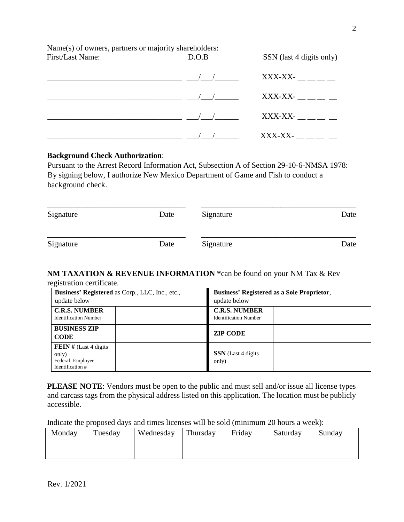Name(s) of owners, partners or majority shareholders: First/Last Name: D.O.B SSN (last 4 digits only)

| $\overline{1}$ | $XXX-XX-$ __ _ _ |
|----------------|------------------|
|                | $XXX-XX-$        |
|                | XXX-XX-          |
|                | XXX-XX-          |

#### **Background Check Authorization**:

Pursuant to the Arrest Record Information Act, Subsection A of Section 29-10-6-NMSA 1978: By signing below, I authorize New Mexico Department of Game and Fish to conduct a background check.

| Signature | Date | Signature | Date |
|-----------|------|-----------|------|
| Signature | Date | Signature | Date |

#### **NM TAXATION & REVENUE INFORMATION \***can be found on your NM Tax & Rev registration certificate.

| Business' Registered as Corp., LLC, Inc., etc.,                          | <b>Business' Registered as a Sole Proprietor,</b>    |  |  |
|--------------------------------------------------------------------------|------------------------------------------------------|--|--|
| update below                                                             | update below                                         |  |  |
| <b>C.R.S. NUMBER</b><br><b>Identification Number</b>                     | <b>C.R.S. NUMBER</b><br><b>Identification Number</b> |  |  |
| <b>BUSINESS ZIP</b><br><b>CODE</b>                                       | <b>ZIP CODE</b>                                      |  |  |
| FEIN # $(Last 4$ digits<br>only)<br>Federal Employer<br>Identification # | <b>SSN</b> (Last 4 digits<br>only)                   |  |  |

**PLEASE NOTE**: Vendors must be open to the public and must sell and/or issue all license types and carcass tags from the physical address listed on this application. The location must be publicly accessible.

Indicate the proposed days and times licenses will be sold (minimum 20 hours a week):

| Monday | Tuesday | Wednesday | Thursday | Friday | Saturday | Sundav |
|--------|---------|-----------|----------|--------|----------|--------|
|        |         |           |          |        |          |        |
|        |         |           |          |        |          |        |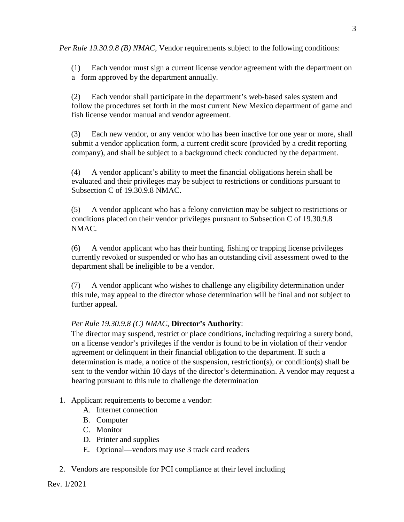*Per Rule 19.30.9.8 (B) NMAC*, Vendor requirements subject to the following conditions:

(1) Each vendor must sign a current license vendor agreement with the department on a form approved by the department annually.

(2) Each vendor shall participate in the department's web-based sales system and follow the procedures set forth in the most current New Mexico department of game and fish license vendor manual and vendor agreement.

(3) Each new vendor, or any vendor who has been inactive for one year or more, shall submit a vendor application form, a current credit score (provided by a credit reporting company), and shall be subject to a background check conducted by the department.

(4) A vendor applicant's ability to meet the financial obligations herein shall be evaluated and their privileges may be subject to restrictions or conditions pursuant to Subsection C of 19.30.9.8 NMAC.

(5) A vendor applicant who has a felony conviction may be subject to restrictions or conditions placed on their vendor privileges pursuant to Subsection C of 19.30.9.8 NMAC.

(6) A vendor applicant who has their hunting, fishing or trapping license privileges currently revoked or suspended or who has an outstanding civil assessment owed to the department shall be ineligible to be a vendor.

(7) A vendor applicant who wishes to challenge any eligibility determination under this rule, may appeal to the director whose determination will be final and not subject to further appeal.

## *Per Rule 19.30.9.8 (C) NMAC*, **Director's Authority**:

The director may suspend, restrict or place conditions, including requiring a surety bond, on a license vendor's privileges if the vendor is found to be in violation of their vendor agreement or delinquent in their financial obligation to the department. If such a determination is made, a notice of the suspension, restriction(s), or condition(s) shall be sent to the vendor within 10 days of the director's determination. A vendor may request a hearing pursuant to this rule to challenge the determination

## 1. Applicant requirements to become a vendor:

- A. Internet connection
- B. Computer
- C. Monitor
- D. Printer and supplies
- E. Optional—vendors may use 3 track card readers
- 2. Vendors are responsible for PCI compliance at their level including

Rev. 1/2021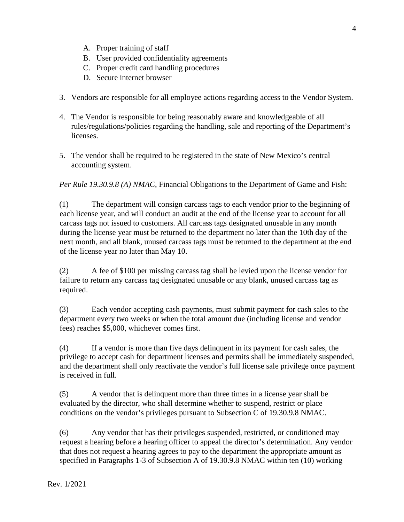- A. Proper training of staff
- B. User provided confidentiality agreements
- C. Proper credit card handling procedures
- D. Secure internet browser
- 3. Vendors are responsible for all employee actions regarding access to the Vendor System.
- 4. The Vendor is responsible for being reasonably aware and knowledgeable of all rules/regulations/policies regarding the handling, sale and reporting of the Department's licenses.
- 5. The vendor shall be required to be registered in the state of New Mexico's central accounting system.

*Per Rule 19.30.9.8 (A) NMAC*, Financial Obligations to the Department of Game and Fish:

(1) The department will consign carcass tags to each vendor prior to the beginning of each license year, and will conduct an audit at the end of the license year to account for all carcass tags not issued to customers. All carcass tags designated unusable in any month during the license year must be returned to the department no later than the 10th day of the next month, and all blank, unused carcass tags must be returned to the department at the end of the license year no later than May 10.

(2) A fee of \$100 per missing carcass tag shall be levied upon the license vendor for failure to return any carcass tag designated unusable or any blank, unused carcass tag as required.

(3) Each vendor accepting cash payments, must submit payment for cash sales to the department every two weeks or when the total amount due (including license and vendor fees) reaches \$5,000, whichever comes first.

(4) If a vendor is more than five days delinquent in its payment for cash sales, the privilege to accept cash for department licenses and permits shall be immediately suspended, and the department shall only reactivate the vendor's full license sale privilege once payment is received in full.

(5) A vendor that is delinquent more than three times in a license year shall be evaluated by the director, who shall determine whether to suspend, restrict or place conditions on the vendor's privileges pursuant to Subsection C of 19.30.9.8 NMAC.

(6) Any vendor that has their privileges suspended, restricted, or conditioned may request a hearing before a hearing officer to appeal the director's determination. Any vendor that does not request a hearing agrees to pay to the department the appropriate amount as specified in Paragraphs 1-3 of Subsection A of 19.30.9.8 NMAC within ten (10) working